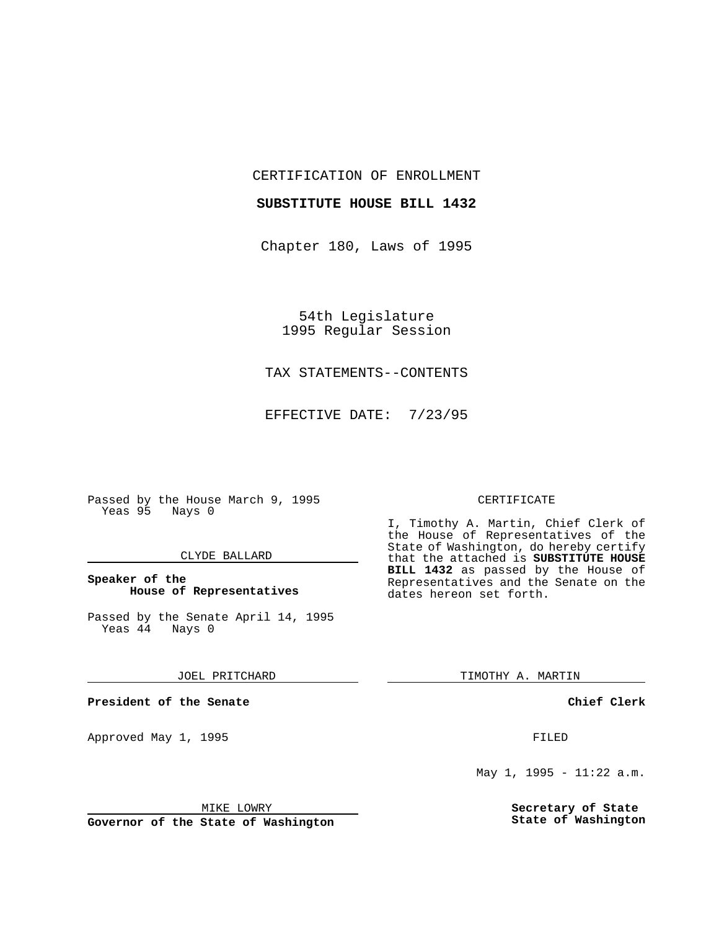CERTIFICATION OF ENROLLMENT

#### **SUBSTITUTE HOUSE BILL 1432**

Chapter 180, Laws of 1995

54th Legislature 1995 Regular Session

## TAX STATEMENTS--CONTENTS

EFFECTIVE DATE: 7/23/95

Passed by the House March 9, 1995 Yeas 95 Nays 0

#### CLYDE BALLARD

## **Speaker of the House of Representatives**

Passed by the Senate April 14, 1995<br>Yeas 44 Nays 0  $Yeas$  44

#### JOEL PRITCHARD

**President of the Senate**

Approved May 1, 1995 **FILED** 

#### MIKE LOWRY

**Governor of the State of Washington**

#### CERTIFICATE

I, Timothy A. Martin, Chief Clerk of the House of Representatives of the State of Washington, do hereby certify that the attached is **SUBSTITUTE HOUSE BILL 1432** as passed by the House of Representatives and the Senate on the dates hereon set forth.

TIMOTHY A. MARTIN

### **Chief Clerk**

May 1, 1995 - 11:22 a.m.

**Secretary of State State of Washington**